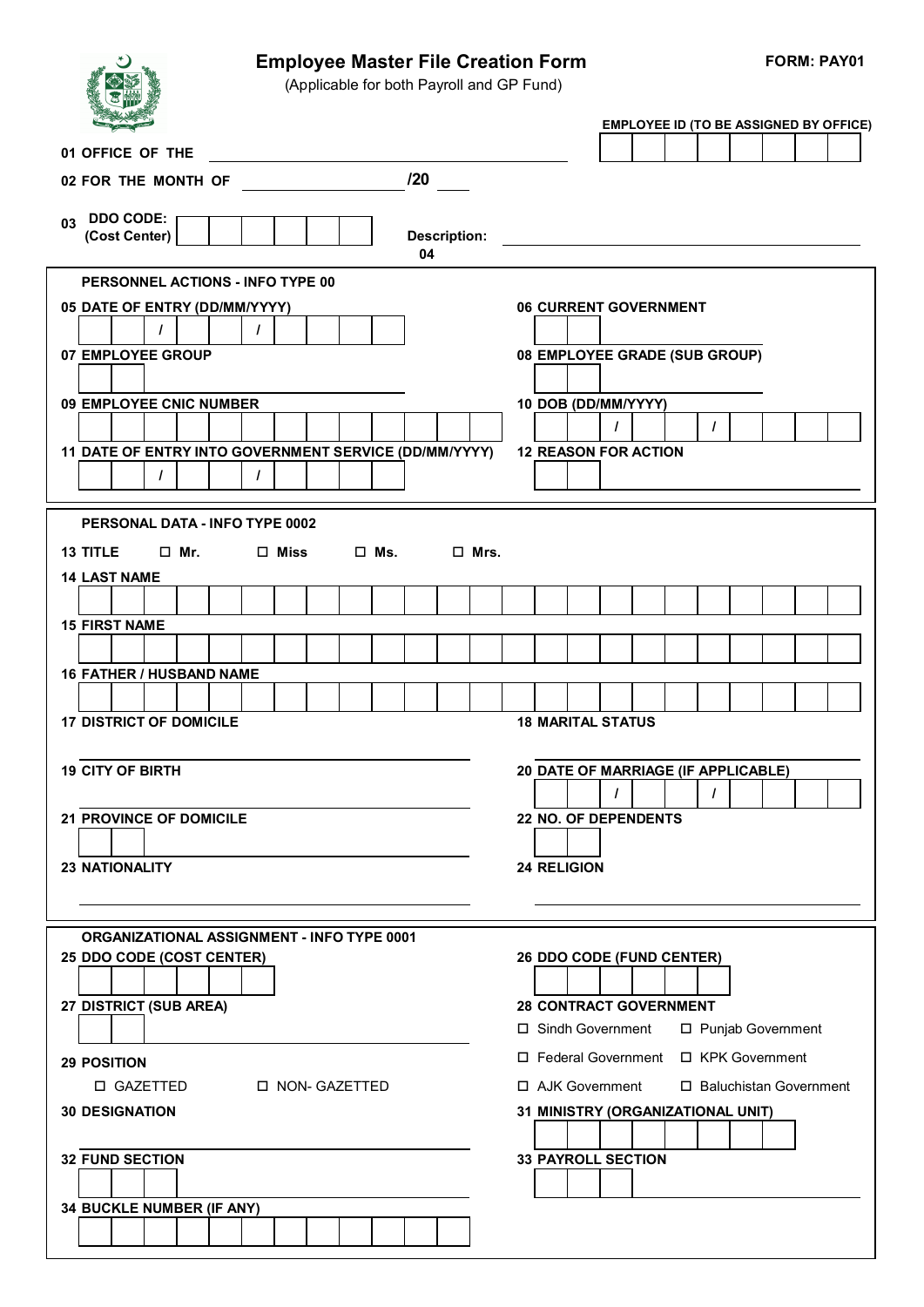

## Employee Master File Creation Form FORM: PAY01

(Applicable for both Payroll and GP Fund)

|                                                             |                     | <b>EMPLOYEE ID (TO BE ASSIGNED BY OFFICE)</b> |
|-------------------------------------------------------------|---------------------|-----------------------------------------------|
| 01 OFFICE OF THE                                            |                     |                                               |
| 02 FOR THE MONTH OF                                         | 120                 |                                               |
|                                                             |                     |                                               |
| <b>DDO CODE:</b><br>03<br>(Cost Center)                     | <b>Description:</b> |                                               |
|                                                             | 04                  |                                               |
| <b>PERSONNEL ACTIONS - INFO TYPE 00</b>                     |                     |                                               |
| 05 DATE OF ENTRY (DD/MM/YYYY)                               |                     | 06 CURRENT GOVERNMENT                         |
| $\prime$<br>L                                               |                     |                                               |
| 07 EMPLOYEE GROUP                                           |                     | 08 EMPLOYEE GRADE (SUB GROUP)                 |
|                                                             |                     |                                               |
| 09 EMPLOYEE CNIC NUMBER                                     |                     | 10 DOB (DD/MM/YYYY)                           |
|                                                             |                     | $\prime$<br>$\prime$                          |
| 11 DATE OF ENTRY INTO GOVERNMENT SERVICE (DD/MM/YYYY)<br>1  |                     | <b>12 REASON FOR ACTION</b>                   |
|                                                             |                     |                                               |
| PERSONAL DATA - INFO TYPE 0002                              |                     |                                               |
| $\square$ Ms.<br><b>13 TITLE</b><br>□ Mr.<br>$\square$ Miss | $\square$ Mrs.      |                                               |
| <b>14 LAST NAME</b>                                         |                     |                                               |
|                                                             |                     |                                               |
| <b>15 FIRST NAME</b>                                        |                     |                                               |
|                                                             |                     |                                               |
| 16 FATHER / HUSBAND NAME                                    |                     |                                               |
|                                                             |                     |                                               |
| <b>17 DISTRICT OF DOMICILE</b>                              |                     | <b>18 MARITAL STATUS</b>                      |
|                                                             |                     |                                               |
| <b>19 CITY OF BIRTH</b>                                     |                     | 20 DATE OF MARRIAGE (IF APPLICABLE)           |
|                                                             |                     | T                                             |
| <b>21 PROVINCE OF DOMICILE</b>                              |                     | 22 NO. OF DEPENDENTS                          |
| <b>23 NATIONALITY</b>                                       |                     | <b>24 RELIGION</b>                            |
|                                                             |                     |                                               |
|                                                             |                     |                                               |
| ORGANIZATIONAL ASSIGNMENT - INFO TYPE 0001                  |                     |                                               |
| 25 DDO CODE (COST CENTER)                                   |                     | 26 DDO CODE (FUND CENTER)                     |
|                                                             |                     |                                               |
| 27 DISTRICT (SUB AREA)                                      |                     | <b>28 CONTRACT GOVERNMENT</b>                 |
|                                                             |                     | □ Sindh Government<br>□ Punjab Government     |
| <b>29 POSITION</b>                                          |                     | □ KPK Government<br>□ Federal Government      |
| □ GAZETTED<br><b>D NON- GAZETTED</b>                        |                     | □ AJK Government<br>□ Baluchistan Government  |
| <b>30 DESIGNATION</b>                                       |                     | 31 MINISTRY (ORGANIZATIONAL UNIT)             |
|                                                             |                     |                                               |
| <b>32 FUND SECTION</b>                                      |                     | <b>33 PAYROLL SECTION</b>                     |
|                                                             |                     |                                               |
| 34 BUCKLE NUMBER (IF ANY)                                   |                     |                                               |
|                                                             |                     |                                               |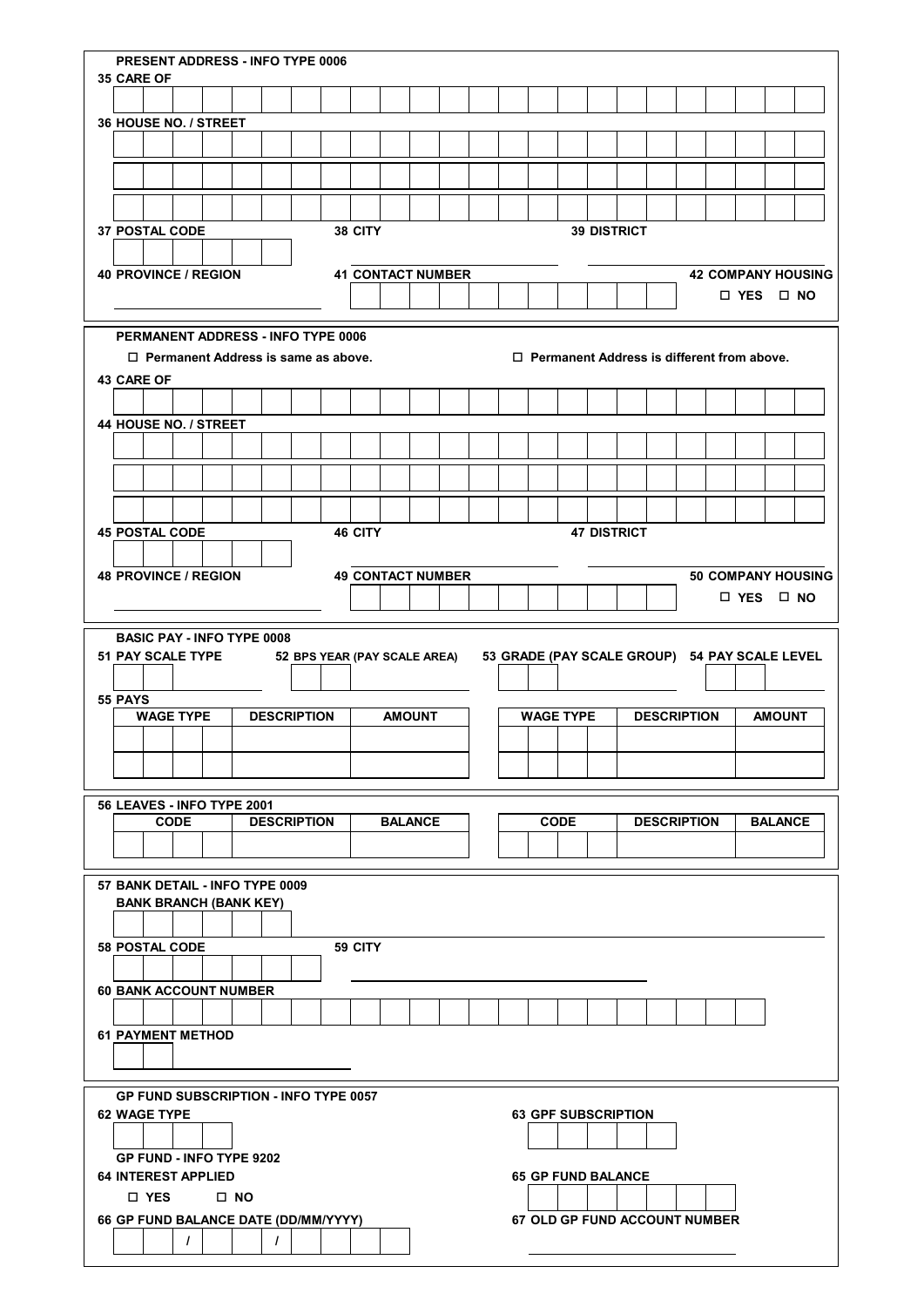|                   | PRESENT ADDRESS - INFO TYPE 0006          |                                            |              |                    |                              |  |         |  |                |                          |  |                            |             |                    |                                               |                      |                |                           |
|-------------------|-------------------------------------------|--------------------------------------------|--------------|--------------------|------------------------------|--|---------|--|----------------|--------------------------|--|----------------------------|-------------|--------------------|-----------------------------------------------|----------------------|----------------|---------------------------|
| <b>35 CARE OF</b> |                                           |                                            |              |                    |                              |  |         |  |                |                          |  |                            |             |                    |                                               |                      |                |                           |
|                   |                                           |                                            |              |                    |                              |  |         |  |                |                          |  |                            |             |                    |                                               |                      |                |                           |
|                   | 36 HOUSE NO. / STREET                     |                                            |              |                    |                              |  |         |  |                |                          |  |                            |             |                    |                                               |                      |                |                           |
|                   |                                           |                                            |              |                    |                              |  |         |  |                |                          |  |                            |             |                    |                                               |                      |                |                           |
|                   |                                           |                                            |              |                    |                              |  |         |  |                |                          |  |                            |             |                    |                                               |                      |                |                           |
|                   |                                           |                                            |              |                    |                              |  |         |  |                |                          |  |                            |             |                    |                                               |                      |                |                           |
|                   |                                           |                                            |              |                    |                              |  |         |  |                |                          |  |                            |             |                    |                                               |                      |                |                           |
|                   | <b>37 POSTAL CODE</b>                     |                                            |              |                    |                              |  | 38 CITY |  |                |                          |  |                            |             | <b>39 DISTRICT</b> |                                               |                      |                |                           |
|                   |                                           |                                            |              |                    |                              |  |         |  |                |                          |  |                            |             |                    |                                               |                      |                |                           |
|                   | <b>40 PROVINCE / REGION</b>               |                                            |              |                    |                              |  |         |  |                | <b>41 CONTACT NUMBER</b> |  |                            |             |                    |                                               | $\Box$ YES $\Box$ NO |                | <b>42 COMPANY HOUSING</b> |
|                   |                                           |                                            |              |                    |                              |  |         |  |                |                          |  |                            |             |                    |                                               |                      |                |                           |
|                   | <b>PERMANENT ADDRESS - INFO TYPE 0006</b> |                                            |              |                    |                              |  |         |  |                |                          |  |                            |             |                    |                                               |                      |                |                           |
|                   |                                           | $\Box$ Permanent Address is same as above. |              |                    |                              |  |         |  |                |                          |  |                            |             |                    | □ Permanent Address is different from above.  |                      |                |                           |
|                   | <b>43 CARE OF</b>                         |                                            |              |                    |                              |  |         |  |                |                          |  |                            |             |                    |                                               |                      |                |                           |
|                   |                                           |                                            |              |                    |                              |  |         |  |                |                          |  |                            |             |                    |                                               |                      |                |                           |
|                   | 44 HOUSE NO. / STREET                     |                                            |              |                    |                              |  |         |  |                |                          |  |                            |             |                    |                                               |                      |                |                           |
|                   |                                           |                                            |              |                    |                              |  |         |  |                |                          |  |                            |             |                    |                                               |                      |                |                           |
|                   |                                           |                                            |              |                    |                              |  |         |  |                |                          |  |                            |             |                    |                                               |                      |                |                           |
|                   |                                           |                                            |              |                    |                              |  |         |  |                |                          |  |                            |             |                    |                                               |                      |                |                           |
|                   |                                           |                                            |              |                    |                              |  |         |  |                |                          |  |                            |             |                    |                                               |                      |                |                           |
|                   | <b>45 POSTAL CODE</b>                     |                                            |              |                    |                              |  | 46 CITY |  |                |                          |  |                            |             | <b>47 DISTRICT</b> |                                               |                      |                |                           |
|                   |                                           |                                            |              |                    |                              |  |         |  |                |                          |  |                            |             |                    |                                               |                      |                |                           |
|                   | <b>48 PROVINCE / REGION</b>               |                                            |              |                    |                              |  |         |  |                | <b>49 CONTACT NUMBER</b> |  |                            |             |                    |                                               |                      |                | <b>50 COMPANY HOUSING</b> |
|                   |                                           |                                            |              |                    |                              |  |         |  |                |                          |  |                            |             |                    |                                               | $\Box$ YES $\Box$ NO |                |                           |
|                   |                                           |                                            |              |                    |                              |  |         |  |                |                          |  |                            |             |                    |                                               |                      |                |                           |
|                   | <b>BASIC PAY - INFO TYPE 0008</b>         |                                            |              |                    |                              |  |         |  |                |                          |  |                            |             |                    |                                               |                      |                |                           |
|                   | 51 PAY SCALE TYPE                         |                                            |              |                    | 52 BPS YEAR (PAY SCALE AREA) |  |         |  |                |                          |  |                            |             |                    | 53 GRADE (PAY SCALE GROUP) 54 PAY SCALE LEVEL |                      |                |                           |
|                   |                                           |                                            |              |                    |                              |  |         |  |                |                          |  |                            |             |                    |                                               |                      |                |                           |
|                   |                                           |                                            |              |                    |                              |  |         |  |                |                          |  |                            |             |                    |                                               |                      |                |                           |
|                   | 55 PAYS                                   |                                            |              |                    |                              |  |         |  |                |                          |  |                            |             |                    |                                               |                      |                |                           |
|                   | <b>WAGE TYPE</b>                          |                                            |              | <b>DESCRIPTION</b> |                              |  |         |  | <b>AMOUNT</b>  |                          |  | <b>WAGE TYPE</b>           |             |                    | <b>DESCRIPTION</b>                            |                      | <b>AMOUNT</b>  |                           |
|                   |                                           |                                            |              |                    |                              |  |         |  |                |                          |  |                            |             |                    |                                               |                      |                |                           |
|                   |                                           |                                            |              |                    |                              |  |         |  |                |                          |  |                            |             |                    |                                               |                      |                |                           |
|                   |                                           |                                            |              |                    |                              |  |         |  |                |                          |  |                            |             |                    |                                               |                      |                |                           |
|                   | 56 LEAVES - INFO TYPE 2001<br><b>CODE</b> |                                            |              | <b>DESCRIPTION</b> |                              |  |         |  | <b>BALANCE</b> |                          |  |                            | <b>CODE</b> |                    | <b>DESCRIPTION</b>                            |                      | <b>BALANCE</b> |                           |
|                   |                                           |                                            |              |                    |                              |  |         |  |                |                          |  |                            |             |                    |                                               |                      |                |                           |
|                   |                                           |                                            |              |                    |                              |  |         |  |                |                          |  |                            |             |                    |                                               |                      |                |                           |
|                   | 57 BANK DETAIL - INFO TYPE 0009           |                                            |              |                    |                              |  |         |  |                |                          |  |                            |             |                    |                                               |                      |                |                           |
|                   | <b>BANK BRANCH (BANK KEY)</b>             |                                            |              |                    |                              |  |         |  |                |                          |  |                            |             |                    |                                               |                      |                |                           |
|                   |                                           |                                            |              |                    |                              |  |         |  |                |                          |  |                            |             |                    |                                               |                      |                |                           |
|                   | <b>58 POSTAL CODE</b>                     |                                            |              |                    |                              |  | 59 CITY |  |                |                          |  |                            |             |                    |                                               |                      |                |                           |
|                   |                                           |                                            |              |                    |                              |  |         |  |                |                          |  |                            |             |                    |                                               |                      |                |                           |
|                   | <b>60 BANK ACCOUNT NUMBER</b>             |                                            |              |                    |                              |  |         |  |                |                          |  |                            |             |                    |                                               |                      |                |                           |
|                   |                                           |                                            |              |                    |                              |  |         |  |                |                          |  |                            |             |                    |                                               |                      |                |                           |
|                   | <b>61 PAYMENT METHOD</b>                  |                                            |              |                    |                              |  |         |  |                |                          |  |                            |             |                    |                                               |                      |                |                           |
|                   |                                           |                                            |              |                    |                              |  |         |  |                |                          |  |                            |             |                    |                                               |                      |                |                           |
|                   |                                           |                                            |              |                    |                              |  |         |  |                |                          |  |                            |             |                    |                                               |                      |                |                           |
|                   | GP FUND SUBSCRIPTION - INFO TYPE 0057     |                                            |              |                    |                              |  |         |  |                |                          |  |                            |             |                    |                                               |                      |                |                           |
|                   | <b>62 WAGE TYPE</b>                       |                                            |              |                    |                              |  |         |  |                |                          |  | <b>63 GPF SUBSCRIPTION</b> |             |                    |                                               |                      |                |                           |
|                   |                                           |                                            |              |                    |                              |  |         |  |                |                          |  |                            |             |                    |                                               |                      |                |                           |
|                   | <b>GP FUND - INFO TYPE 9202</b>           |                                            |              |                    |                              |  |         |  |                |                          |  |                            |             |                    |                                               |                      |                |                           |
|                   | <b>64 INTEREST APPLIED</b>                |                                            |              |                    |                              |  |         |  |                |                          |  | <b>65 GP FUND BALANCE</b>  |             |                    |                                               |                      |                |                           |
|                   | □ YES                                     |                                            | $\square$ NO |                    |                              |  |         |  |                |                          |  |                            |             |                    |                                               |                      |                |                           |
|                   | 66 GP FUND BALANCE DATE (DD/MM/YYYY)      | $\prime$                                   |              | $\prime$           |                              |  |         |  |                |                          |  |                            |             |                    | <b>67 OLD GP FUND ACCOUNT NUMBER</b>          |                      |                |                           |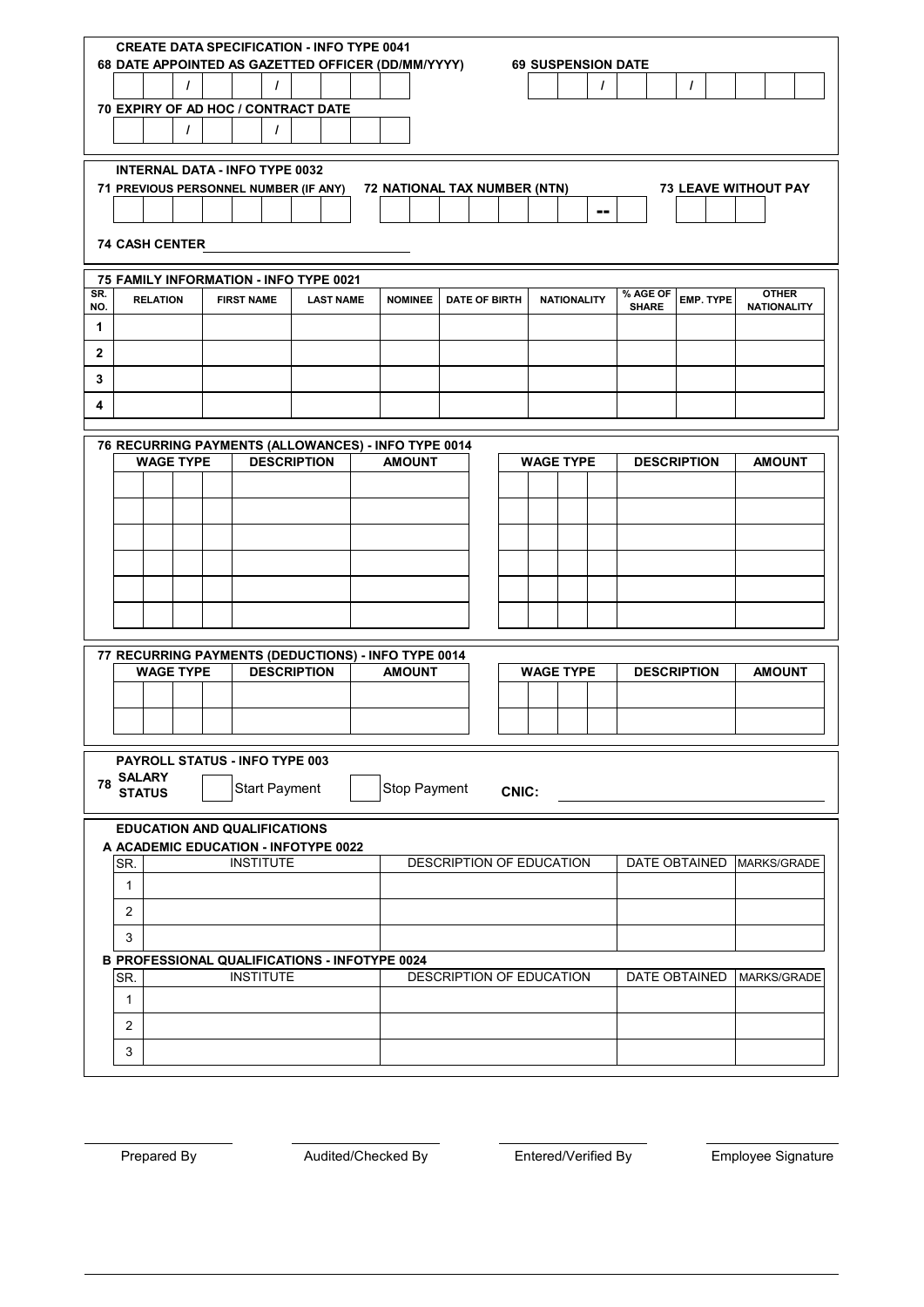|              | <b>CREATE DATA SPECIFICATION - INFO TYPE 0041</b><br>68 DATE APPOINTED AS GAZETTED OFFICER (DD/MM/YYYY)<br><b>69 SUSPENSION DATE</b> |                 |                  |  |                   |                                       |  |                  |  |  |                |              |                      |       |                          |                    |          |                          |                  |                                    |  |               |                    |
|--------------|--------------------------------------------------------------------------------------------------------------------------------------|-----------------|------------------|--|-------------------|---------------------------------------|--|------------------|--|--|----------------|--------------|----------------------|-------|--------------------------|--------------------|----------|--------------------------|------------------|------------------------------------|--|---------------|--------------------|
|              |                                                                                                                                      |                 | $\prime$         |  |                   | $\prime$                              |  |                  |  |  |                |              |                      |       |                          |                    | $\prime$ |                          |                  | $\prime$                           |  |               |                    |
|              | 70 EXPIRY OF AD HOC / CONTRACT DATE                                                                                                  |                 |                  |  |                   |                                       |  |                  |  |  |                |              |                      |       |                          |                    |          |                          |                  |                                    |  |               |                    |
|              | $\prime$<br>$\prime$                                                                                                                 |                 |                  |  |                   |                                       |  |                  |  |  |                |              |                      |       |                          |                    |          |                          |                  |                                    |  |               |                    |
|              | <b>INTERNAL DATA - INFO TYPE 0032</b>                                                                                                |                 |                  |  |                   |                                       |  |                  |  |  |                |              |                      |       |                          |                    |          |                          |                  |                                    |  |               |                    |
|              | 72 NATIONAL TAX NUMBER (NTN)<br><b>73 LEAVE WITHOUT PAY</b><br>71 PREVIOUS PERSONNEL NUMBER (IF ANY)                                 |                 |                  |  |                   |                                       |  |                  |  |  |                |              |                      |       |                          |                    |          |                          |                  |                                    |  |               |                    |
|              | $\sim$ $\sim$                                                                                                                        |                 |                  |  |                   |                                       |  |                  |  |  |                |              |                      |       |                          |                    |          |                          |                  |                                    |  |               |                    |
|              | <b>74 CASH CENTER</b>                                                                                                                |                 |                  |  |                   |                                       |  |                  |  |  |                |              |                      |       |                          |                    |          |                          |                  |                                    |  |               |                    |
|              | 75 FAMILY INFORMATION - INFO TYPE 0021                                                                                               |                 |                  |  |                   |                                       |  |                  |  |  |                |              |                      |       |                          |                    |          |                          |                  |                                    |  |               |                    |
| SR.<br>NO.   |                                                                                                                                      | <b>RELATION</b> |                  |  | <b>FIRST NAME</b> |                                       |  | <b>LAST NAME</b> |  |  | <b>NOMINEE</b> |              | <b>DATE OF BIRTH</b> |       |                          | <b>NATIONALITY</b> |          | % AGE OF<br><b>SHARE</b> | <b>EMP. TYPE</b> | <b>OTHER</b><br><b>NATIONALITY</b> |  |               |                    |
| 1            |                                                                                                                                      |                 |                  |  |                   |                                       |  |                  |  |  |                |              |                      |       |                          |                    |          |                          |                  |                                    |  |               |                    |
| $\mathbf{2}$ |                                                                                                                                      |                 |                  |  |                   |                                       |  |                  |  |  |                |              |                      |       |                          |                    |          |                          |                  |                                    |  |               |                    |
| 3            |                                                                                                                                      |                 |                  |  |                   |                                       |  |                  |  |  |                |              |                      |       |                          |                    |          |                          |                  |                                    |  |               |                    |
| 4            |                                                                                                                                      |                 |                  |  |                   |                                       |  |                  |  |  |                |              |                      |       |                          |                    |          |                          |                  |                                    |  |               |                    |
|              | 76 RECURRING PAYMENTS (ALLOWANCES) - INFO TYPE 0014                                                                                  |                 |                  |  |                   |                                       |  |                  |  |  |                |              |                      |       |                          |                    |          |                          |                  |                                    |  |               |                    |
|              |                                                                                                                                      |                 | <b>WAGE TYPE</b> |  |                   | <b>DESCRIPTION</b>                    |  |                  |  |  | <b>AMOUNT</b>  |              |                      |       | <b>WAGE TYPE</b>         |                    |          |                          |                  | <b>DESCRIPTION</b>                 |  | <b>AMOUNT</b> |                    |
|              |                                                                                                                                      |                 |                  |  |                   |                                       |  |                  |  |  |                |              |                      |       |                          |                    |          |                          |                  |                                    |  |               |                    |
|              |                                                                                                                                      |                 |                  |  |                   |                                       |  |                  |  |  |                |              |                      |       |                          |                    |          |                          |                  |                                    |  |               |                    |
|              |                                                                                                                                      |                 |                  |  |                   |                                       |  |                  |  |  |                |              |                      |       |                          |                    |          |                          |                  |                                    |  |               |                    |
|              |                                                                                                                                      |                 |                  |  |                   |                                       |  |                  |  |  |                |              |                      |       |                          |                    |          |                          |                  |                                    |  |               |                    |
|              |                                                                                                                                      |                 |                  |  |                   |                                       |  |                  |  |  |                |              |                      |       |                          |                    |          |                          |                  |                                    |  |               |                    |
|              |                                                                                                                                      |                 |                  |  |                   |                                       |  |                  |  |  |                |              |                      |       |                          |                    |          |                          |                  |                                    |  |               |                    |
|              |                                                                                                                                      |                 |                  |  |                   |                                       |  |                  |  |  |                |              |                      |       |                          |                    |          |                          |                  |                                    |  |               |                    |
|              | 77 RECURRING PAYMENTS (DEDUCTIONS) - INFO TYPE 0014                                                                                  |                 | <b>WAGE TYPE</b> |  |                   | <b>DESCRIPTION</b>                    |  |                  |  |  | <b>AMOUNT</b>  |              |                      |       | <b>WAGE TYPE</b>         |                    |          |                          |                  | <b>DESCRIPTION</b>                 |  | <b>AMOUNT</b> |                    |
|              |                                                                                                                                      |                 |                  |  |                   |                                       |  |                  |  |  |                |              |                      |       |                          |                    |          |                          |                  |                                    |  |               |                    |
|              |                                                                                                                                      |                 |                  |  |                   |                                       |  |                  |  |  |                |              |                      |       |                          |                    |          |                          |                  |                                    |  |               |                    |
|              |                                                                                                                                      |                 |                  |  |                   |                                       |  |                  |  |  |                |              |                      |       |                          |                    |          |                          |                  |                                    |  |               |                    |
|              | <b>SALARY</b>                                                                                                                        |                 |                  |  |                   | <b>PAYROLL STATUS - INFO TYPE 003</b> |  |                  |  |  |                |              |                      |       |                          |                    |          |                          |                  |                                    |  |               |                    |
| 78           | <b>STATUS</b>                                                                                                                        |                 |                  |  |                   | <b>Start Payment</b>                  |  |                  |  |  |                | Stop Payment |                      | CNIC: |                          |                    |          |                          |                  |                                    |  |               |                    |
|              |                                                                                                                                      |                 |                  |  |                   | <b>EDUCATION AND QUALIFICATIONS</b>   |  |                  |  |  |                |              |                      |       |                          |                    |          |                          |                  |                                    |  |               |                    |
|              | A ACADEMIC EDUCATION - INFOTYPE 0022                                                                                                 |                 |                  |  |                   |                                       |  |                  |  |  |                |              |                      |       |                          |                    |          |                          |                  |                                    |  |               |                    |
|              | SR.                                                                                                                                  |                 |                  |  |                   | <b>INSTITUTE</b>                      |  |                  |  |  |                |              |                      |       | DESCRIPTION OF EDUCATION |                    |          |                          |                  | DATE OBTAINED                      |  |               | <b>MARKS/GRADE</b> |
|              | $\mathbf{1}$                                                                                                                         |                 |                  |  |                   |                                       |  |                  |  |  |                |              |                      |       |                          |                    |          |                          |                  |                                    |  |               |                    |
|              | 2                                                                                                                                    |                 |                  |  |                   |                                       |  |                  |  |  |                |              |                      |       |                          |                    |          |                          |                  |                                    |  |               |                    |
|              | 3                                                                                                                                    |                 |                  |  |                   |                                       |  |                  |  |  |                |              |                      |       |                          |                    |          |                          |                  |                                    |  |               |                    |
|              | <b>B PROFESSIONAL QUALIFICATIONS - INFOTYPE 0024</b><br>SR.                                                                          |                 |                  |  |                   | <b>INSTITUTE</b>                      |  |                  |  |  |                |              |                      |       | DESCRIPTION OF EDUCATION |                    |          |                          |                  | DATE OBTAINED                      |  |               | MARKS/GRADE        |
|              | 1                                                                                                                                    |                 |                  |  |                   |                                       |  |                  |  |  |                |              |                      |       |                          |                    |          |                          |                  |                                    |  |               |                    |
|              | $\overline{2}$                                                                                                                       |                 |                  |  |                   |                                       |  |                  |  |  |                |              |                      |       |                          |                    |          |                          |                  |                                    |  |               |                    |
|              | 3                                                                                                                                    |                 |                  |  |                   |                                       |  |                  |  |  |                |              |                      |       |                          |                    |          |                          |                  |                                    |  |               |                    |
|              |                                                                                                                                      |                 |                  |  |                   |                                       |  |                  |  |  |                |              |                      |       |                          |                    |          |                          |                  |                                    |  |               |                    |